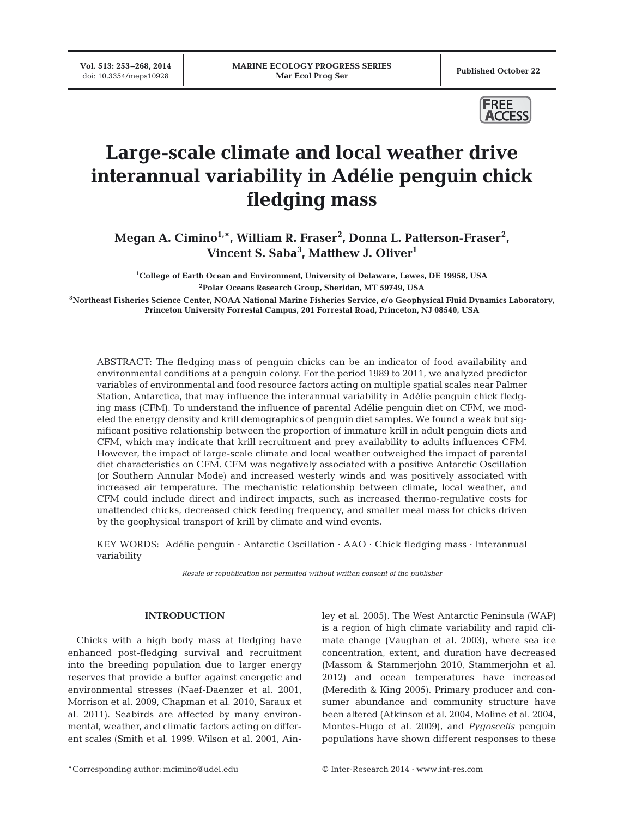**Vol. 513: 253–268, 2014**



# **Large-scale climate and local weather drive interannual variability in Adélie penguin chick fledging mass**

**Megan A. Cimino1,\*, William R. Fraser2 , Donna L. Patterson-Fraser<sup>2</sup> , Vincent S. Saba3 , Matthew J. Oliver1**

**1 College of Earth Ocean and Environment, University of Delaware, Lewes, DE 19958, USA 2Polar Oceans Research Group, Sheridan, MT 59749, USA**

**3Northeast Fisheries Science Center, NOAA National Marine Fisheries Service, c/o Geophysical Fluid Dynamics Laboratory, Princeton University Forrestal Campus, 201 Forrestal Road, Princeton, NJ 08540, USA**

ABSTRACT: The fledging mass of penguin chicks can be an indicator of food availability and environmental conditions at a penguin colony. For the period 1989 to 2011, we analyzed predictor variables of environmental and food resource factors acting on multiple spatial scales near Palmer Station, Antarctica, that may influence the interannual variability in Adélie penguin chick fledging mass (CFM). To understand the influence of parental Adélie penguin diet on CFM, we modeled the energy density and krill demographics of penguin diet samples. We found a weak but significant positive relationship between the proportion of immature krill in adult penguin diets and CFM, which may indicate that krill recruitment and prey availability to adults influences CFM. However, the impact of large-scale climate and local weather outweighed the impact of parental diet characteristics on CFM. CFM was negatively associated with a positive Antarctic Oscillation (or Southern Annular Mode) and increased westerly winds and was positively associated with increased air temperature. The mechanistic relationship between climate, local weather, and CFM could include direct and indirect impacts, such as increased thermo-regulative costs for unattended chicks, decreased chick feeding frequency, and smaller meal mass for chicks driven by the geophysical transport of krill by climate and wind events.

KEY WORDS: Adélie penguin · Antarctic Oscillation · AAO · Chick fledging mass · Interannual variability

*Resale or republication not permitted without written consent of the publisher*

# **INTRODUCTION**

Chicks with a high body mass at fledging have enhanced post-fledging survival and recruitment into the breeding population due to larger energy reserves that provide a buffer against energetic and environmental stresses (Naef-Daenzer et al. 2001, Morrison et al. 2009, Chapman et al. 2010, Saraux et al. 2011). Seabirds are affected by many environmental, weather, and climatic factors acting on different scales (Smith et al. 1999, Wilson et al. 2001, Ainley et al. 2005). The West Antarctic Peninsula (WAP) is a region of high climate variability and rapid climate change (Vaughan et al. 2003), where sea ice concentration, extent, and duration have decreased (Massom & Stammerjohn 2010, Stammerjohn et al. 2012) and ocean temperatures have increased (Meredith & King 2005). Primary producer and consumer abundance and community structure have been altered (Atkinson et al. 2004, Moline et al. 2004, Montes-Hugo et al. 2009), and *Pygoscelis* penguin populations have shown different responses to these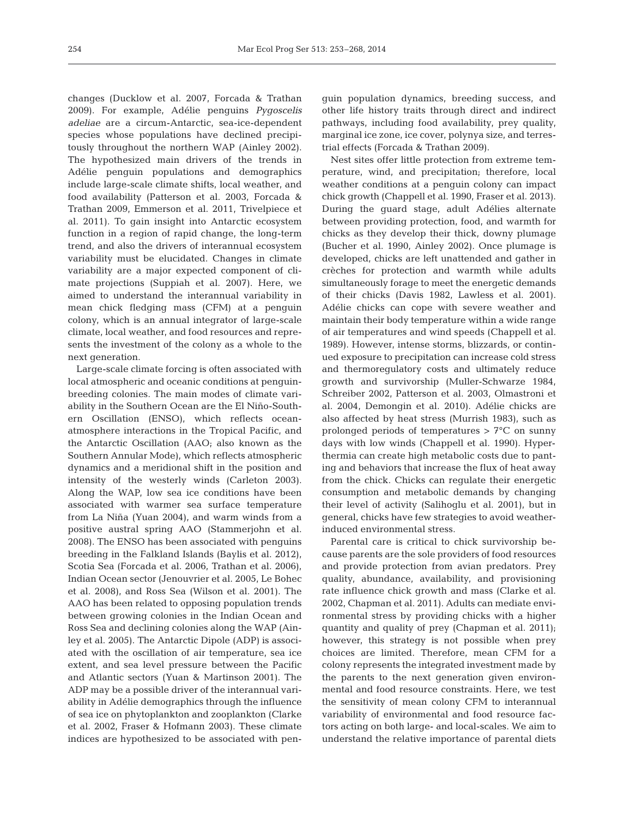changes (Ducklow et al. 2007, Forcada & Trathan 2009). For example, Adélie penguins *Pygoscelis adeliae* are a circum-Antarctic, sea-ice-dependent species whose populations have declined precipitously throughout the northern WAP (Ainley 2002). The hypothesized main drivers of the trends in Adélie penguin populations and demographics include large-scale climate shifts, local weather, and food availability (Patterson et al. 2003, Forcada & Trathan 2009, Emmerson et al. 2011, Trivelpiece et al. 2011). To gain insight into Antarctic ecosystem function in a region of rapid change, the long-term trend, and also the drivers of interannual ecosystem variability must be elucidated. Changes in climate variability are a major expected component of climate projections (Suppiah et al. 2007). Here, we aimed to understand the interannual variability in mean chick fledging mass (CFM) at a penguin colony, which is an annual integrator of large-scale climate, local weather, and food resources and represents the investment of the colony as a whole to the next generation.

Large-scale climate forcing is often associated with local atmospheric and oceanic conditions at penguinbreeding colonies. The main modes of climate variability in the Southern Ocean are the El Niño-Southern Oscillation (ENSO), which reflects oceanatmosphere interactions in the Tropical Pacific, and the Antarctic Oscillation (AAO; also known as the Southern Annular Mode), which reflects atmospheric dynamics and a meridional shift in the position and intensity of the westerly winds (Carleton 2003). Along the WAP, low sea ice conditions have been associated with warmer sea surface temperature from La Niña (Yuan 2004), and warm winds from a positive austral spring AAO (Stammerjohn et al. 2008). The ENSO has been associated with penguins breeding in the Falkland Islands (Baylis et al. 2012), Scotia Sea (Forcada et al. 2006, Trathan et al. 2006), Indian Ocean sector (Jenouvrier et al. 2005, Le Bohec et al. 2008), and Ross Sea (Wilson et al. 2001). The AAO has been related to opposing population trends between growing colonies in the Indian Ocean and Ross Sea and declining colonies along the WAP (Ainley et al. 2005). The Antarctic Dipole (ADP) is associated with the oscillation of air temperature, sea ice extent, and sea level pressure between the Pacific and Atlantic sectors (Yuan & Martinson 2001). The ADP may be a possible driver of the interannual variability in Adélie demographics through the influence of sea ice on phytoplankton and zooplankton (Clarke et al. 2002, Fraser & Hofmann 2003). These climate indices are hypothesized to be associated with penguin population dynamics, breeding success, and other life history traits through direct and indirect pathways, including food availability, prey quality, marginal ice zone, ice cover, polynya size, and terrestrial effects (Forcada & Trathan 2009).

Nest sites offer little protection from extreme temperature, wind, and precipitation; therefore, local weather conditions at a penguin colony can impact chick growth (Chappell et al. 1990, Fraser et al. 2013). During the guard stage, adult Adélies alternate between providing protection, food, and warmth for chicks as they develop their thick, downy plumage (Bucher et al. 1990, Ainley 2002). Once plumage is developed, chicks are left unattended and gather in crèches for protection and warmth while adults simultaneously forage to meet the energetic demands of their chicks (Davis 1982, Lawless et al. 2001). Adélie chicks can cope with severe weather and maintain their body temperature within a wide range of air temperatures and wind speeds (Chappell et al. 1989). However, intense storms, blizzards, or continued exposure to precipitation can increase cold stress and thermoregulatory costs and ultimately reduce growth and survivorship (Muller-Schwarze 1984, Schreiber 2002, Patterson et al. 2003, Olmastroni et al. 2004, Demongin et al. 2010). Adélie chicks are also affected by heat stress (Murrish 1983), such as prolonged periods of temperatures > 7°C on sunny days with low winds (Chappell et al. 1990). Hyperthermia can create high metabolic costs due to panting and behaviors that increase the flux of heat away from the chick. Chicks can regulate their energetic consumption and metabolic demands by changing their level of activity (Salihoglu et al. 2001), but in general, chicks have few strategies to avoid weatherinduced environmental stress.

Parental care is critical to chick survivorship be cause parents are the sole providers of food resources and provide protection from avian predators. Prey quality, abundance, availability, and provisioning rate influence chick growth and mass (Clarke et al. 2002, Chapman et al. 2011). Adults can mediate environmental stress by providing chicks with a higher quantity and quality of prey (Chapman et al. 2011); however, this strategy is not possible when prey choices are limited. Therefore, mean CFM for a colony represents the integrated investment made by the parents to the next generation given environmental and food resource constraints. Here, we test the sensitivity of mean colony CFM to interannual variability of environmental and food resource factors acting on both large- and local-scales. We aim to understand the relative importance of parental diets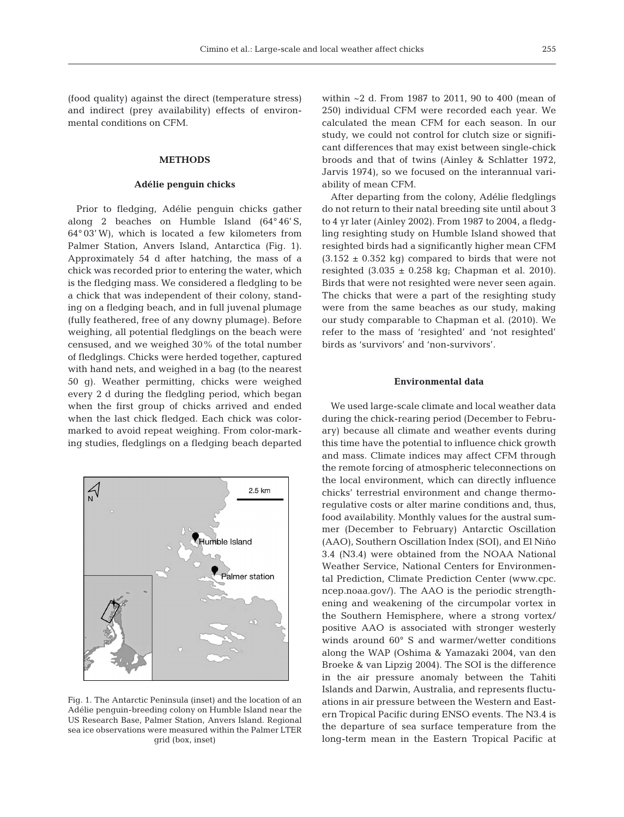(food quality) against the direct (temperature stress) and indirect (prey availability) effects of environmental conditions on CFM.

# **METHODS**

#### **Adélie penguin chicks**

Prior to fledging, Adélie penguin chicks gather along 2 beaches on Humble Island (64° 46' S, 64° 03' W), which is located a few kilometers from Palmer Station, Anvers Island, Antarctica (Fig. 1). Approximately 54 d after hatching, the mass of a chick was recorded prior to entering the water, which is the fledging mass. We considered a fledgling to be a chick that was independent of their colony, standing on a fledging beach, and in full juvenal plumage (fully feathered, free of any downy plumage). Before weighing, all potential fledglings on the beach were censused, and we weighed 30% of the total number of fledglings. Chicks were herded together, captured with hand nets, and weighed in a bag (to the nearest 50 g). Weather permitting, chicks were weighed every 2 d during the fledgling period, which began when the first group of chicks arrived and ended when the last chick fledged. Each chick was colormarked to avoid repeat weighing. From color-marking studies, fledglings on a fledging beach departed



Fig. 1. The Antarctic Peninsula (inset) and the location of an Adélie penguin-breeding colony on Humble Island near the US Research Base, Palmer Station, Anvers Island. Regional sea ice observations were measured within the Palmer LTER grid (box, inset)

within ~2 d. From 1987 to 2011, 90 to 400 (mean of 250) individual CFM were recorded each year. We calculated the mean CFM for each season. In our study, we could not control for clutch size or significant differences that may exist between single-chick broods and that of twins (Ainley & Schlatter 1972, Jarvis 1974), so we focused on the interannual variability of mean CFM.

After departing from the colony, Adélie fledglings do not return to their natal breeding site until about 3 to 4 yr later (Ainley 2002). From 1987 to 2004, a fledgling resighting study on Humble Island showed that resighted birds had a significantly higher mean CFM  $(3.152 \pm 0.352 \text{ kg})$  compared to birds that were not resighted  $(3.035 \pm 0.258 \text{ kg})$ ; Chapman et al. 2010). Birds that were not resighted were never seen again. The chicks that were a part of the resighting study were from the same beaches as our study, making our study comparable to Chapman et al. (2010). We refer to the mass of 'resighted' and 'not resighted' birds as 'survivors' and 'non-survivors'.

## **Environmental data**

We used large-scale climate and local weather data during the chick-rearing period (December to February) because all climate and weather events during this time have the potential to influence chick growth and mass. Climate indices may affect CFM through the remote forcing of atmospheric teleconnections on the local environment, which can directly influence chicks' terrestrial environment and change thermoregulative costs or alter marine conditions and, thus, food availability. Monthly values for the austral summer (December to February) Antarctic Oscillation (AAO), Southern Oscillation Index (SOI), and El Niño 3.4 (N3.4) were obtained from the NOAA National Weather Service, National Centers for Environmental Prediction, Climate Prediction Center (www.cpc. ncep.noaa.gov/). The AAO is the periodic strengthening and weakening of the circumpolar vortex in the Southern Hemisphere, where a strong vortex/ positive AAO is associated with stronger westerly winds around 60° S and warmer/wetter conditions along the WAP (Oshima & Yamazaki 2004, van den Broeke & van Lipzig 2004). The SOI is the difference in the air pressure anomaly between the Tahiti Islands and Darwin, Australia, and represents fluctuations in air pressure between the Western and Eastern Tropical Pacific during ENSO events. The N3.4 is the departure of sea surface temperature from the long-term mean in the Eastern Tropical Pacific at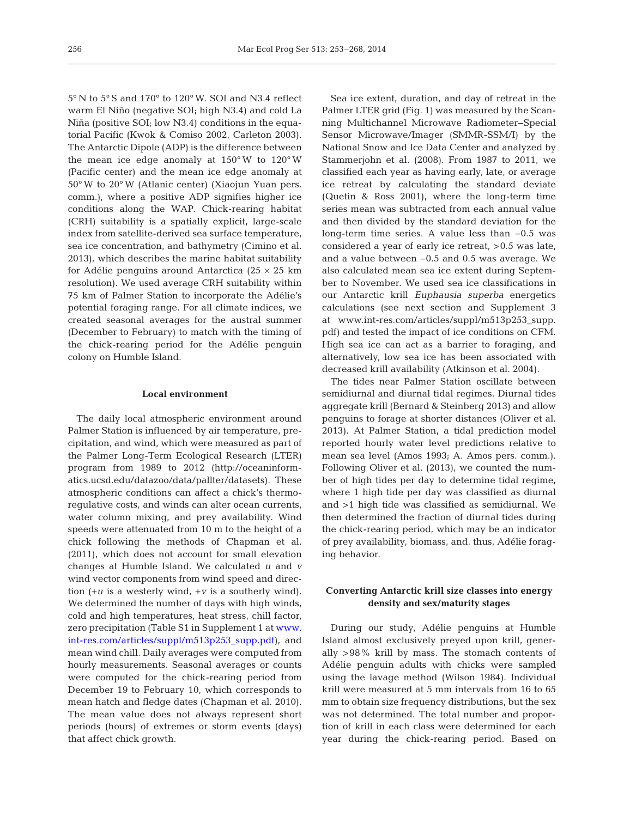5° N to 5° S and 170° to 120° W. SOI and N3.4 reflect warm El Niño (negative SOI; high N3.4) and cold La Niña (positive SOI; low N3.4) conditions in the equatorial Pacific (Kwok & Comiso 2002, Carleton 2003). The Antarctic Dipole (ADP) is the difference between the mean ice edge anomaly at 150° W to 120° W (Pacific center) and the mean ice edge anomaly at 50° W to 20° W (Atlanic center) (Xiaojun Yuan pers. comm.), where a positive ADP signifies higher ice conditions along the WAP. Chick-rearing habitat (CRH) suitability is a spatially explicit, large-scale index from satellite-derived sea surface temperature, sea ice concentration, and bathymetry (Cimino et al. 2013), which describes the marine habitat suitability for Adélie penguins around Antarctica ( $25 \times 25$  km resolution). We used average CRH suitability within 75 km of Palmer Station to incorporate the Adélie's potential foraging range. For all climate indices, we created seasonal averages for the austral summer (December to February) to match with the timing of the chick-rearing period for the Adélie penguin colony on Humble Island.

# **Local environment**

The daily local atmospheric environment around Palmer Station is influenced by air temperature, precipitation, and wind, which were measured as part of the Palmer Long-Term Ecological Research (LTER) program from 1989 to 2012 (http://oceaninformatics.ucsd.edu/datazoo/data/pallter/datasets). These at mospheric conditions can affect a chick's thermoregulative costs, and winds can alter ocean currents, water column mixing, and prey availability. Wind speeds were attenuated from 10 m to the height of a chick following the methods of Chapman et al. (2011), which does not account for small elevation changes at Humble Island. We calculated *u* and *v* wind vector components from wind speed and direction (+*u* is a westerly wind, +*v* is a southerly wind). We determined the number of days with high winds, cold and high temperatures, heat stress, chill factor, zero precipitation (Table S1 in Supplement 1 at [www.](http://www.int-res.com/articles/suppl/m513p253_supp.pdf) int-res.com/articles/suppl/m513p253\_supp.pdf), and mean wind chill. Daily averages were computed from hourly measurements. Seasonal averages or counts were computed for the chick-rearing period from December 19 to February 10, which corresponds to mean hatch and fledge dates (Chapman et al. 2010). The mean value does not always represent short periods (hours) of extremes or storm events (days) that affect chick growth.

Sea ice extent, duration, and day of retreat in the Palmer LTER grid (Fig. 1) was measured by the Scanning Multichannel Microwave Radiometer−Special Sensor Microwave/Imager (SMMR-SSM/I) by the National Snow and Ice Data Center and analyzed by Stammerjohn et al. (2008). From 1987 to 2011, we classified each year as having early, late, or average ice retreat by calculating the standard deviate (Quetin & Ross 2001), where the long-term time series mean was subtracted from each annual value and then divided by the standard deviation for the long-term time series. A value less than −0.5 was considered a year of early ice retreat, >0.5 was late, and a value between −0.5 and 0.5 was average. We also calculated mean sea ice extent during September to November. We used sea ice classifications in our Antarctic krill *Euphausia superba* energetics calculations (see next section and Supplement 3 at [www. int-res.com/articles/suppl/m513p253\\_supp.](http://www.int-res.com/articles/suppl/m513p253_supp.pdf) [pdf\)](http://www.int-res.com/articles/suppl/m513p253_supp.pdf) and tested the impact of ice conditions on CFM. High sea ice can act as a barrier to foraging, and alternatively, low sea ice has been associated with decreased krill availability (Atkinson et al. 2004).

The tides near Palmer Station oscillate between semidiurnal and diurnal tidal regimes. Diurnal tides aggregate krill (Bernard & Steinberg 2013) and allow penguins to forage at shorter distances (Oliver et al. 2013). At Palmer Station, a tidal prediction model reported hourly water level predictions relative to mean sea level (Amos 1993; A. Amos pers. comm.). Following Oliver et al. (2013), we counted the number of high tides per day to determine tidal regime, where 1 high tide per day was classified as diurnal and >1 high tide was classified as semidiurnal. We then determined the fraction of diurnal tides during the chick-rearing period, which may be an indicator of prey availability, biomass, and, thus, Adélie foraging behavior.

# **Converting Antarctic krill size classes into energy density and sex/maturity stages**

During our study, Adélie penguins at Humble Island almost exclusively preyed upon krill, generally >98% krill by mass. The stomach contents of Adélie penguin adults with chicks were sampled using the lavage method (Wilson 1984). Individual krill were measured at 5 mm intervals from 16 to 65 mm to obtain size frequency distributions, but the sex was not determined. The total number and proportion of krill in each class were determined for each year during the chick-rearing period. Based on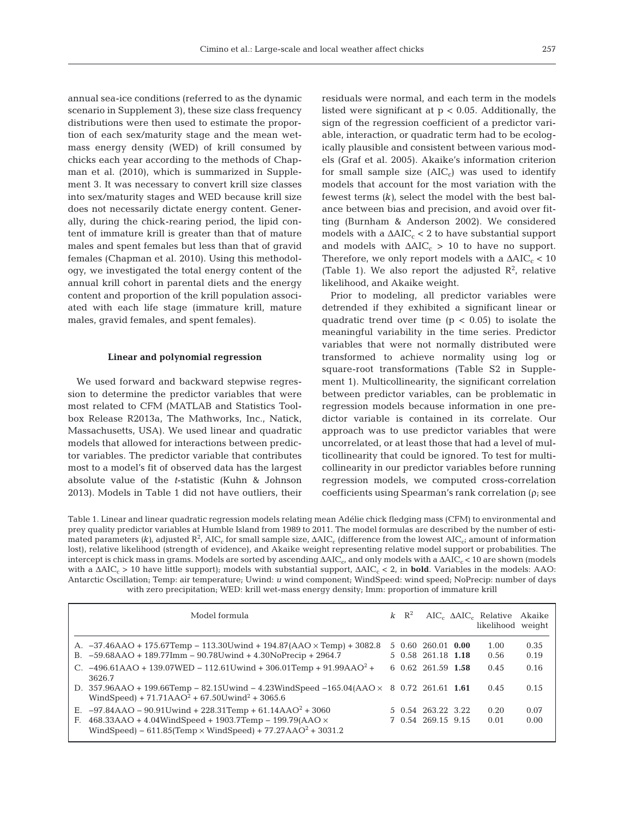annual sea-ice conditions (referred to as the dynamic scenario in Supplement 3), these size class frequency distributions were then used to estimate the proportion of each sex/maturity stage and the mean wetmass energy density (WED) of krill consumed by chicks each year according to the methods of Chapman et al. (2010), which is summarized in Supplement 3. It was necessary to convert krill size classes into sex/maturity stages and WED because krill size does not necessarily dictate energy content. Generally, during the chick-rearing period, the lipid content of immature krill is greater than that of mature males and spent females but less than that of gravid females (Chapman et al. 2010). Using this methodology, we investigated the total energy content of the annual krill cohort in parental diets and the energy content and proportion of the krill population associated with each life stage (immature krill, mature males, gravid females, and spent females).

#### **Linear and polynomial regression**

We used forward and backward stepwise regression to determine the predictor variables that were most related to CFM (MATLAB and Statistics Toolbox Release R2013a, The Mathworks, Inc., Natick, Massachusetts, USA). We used linear and quadratic models that allowed for interactions between predictor variables. The predictor variable that contributes most to a model's fit of observed data has the largest absolute value of the *t*-statistic (Kuhn & Johnson 2013). Models in Table 1 did not have outliers, their residuals were normal, and each term in the models listed were significant at  $p < 0.05$ . Additionally, the sign of the regression coefficient of a predictor variable, interaction, or quadratic term had to be ecologically plausible and consistent between various models (Graf et al. 2005). Akaike's information criterion for small sample size  $(AIC<sub>c</sub>)$  was used to identify models that account for the most variation with the fewest terms *(k)*, select the model with the best balance between bias and precision, and avoid over fitting (Burnham & Anderson 2002). We considered models with a  $\Delta AIC_c < 2$  to have substantial support and models with  $\Delta AIC_c > 10$  to have no support. Therefore, we only report models with a  $\Delta AIC_c < 10$ (Table 1). We also report the adjusted  $\mathbb{R}^2$ , relative likelihood, and Akaike weight.

Prior to modeling, all predictor variables were detrended if they exhibited a significant linear or quadratic trend over time  $(p < 0.05)$  to isolate the meaningful variability in the time series. Predictor variables that were not normally distributed were transformed to achieve normality using log or square-root transformations (Table S2 in Supplement 1). Multicollinearity, the significant correlation between predictor variables, can be problematic in regression models because information in one predictor variable is contained in its correlate. Our approach was to use predictor variables that were uncorrelated, or at least those that had a level of multicollinearity that could be ignored. To test for multicollinearity in our predictor variables before running regression models, we computed cross-correlation coefficients using Spearman's rank correlation (ρ; see

Table 1. Linear and linear quadratic regression models relating mean Adélie chick fledging mass (CFM) to environmental and prey quality predictor variables at Humble Island from 1989 to 2011. The model formulas are described by the number of estimated parameters (k), adjusted  $R^2$ ,  $AIC_c$  for small sample size,  $\Delta AIC_c$  (difference from the lowest  $AIC_c$ ; amount of information lost), relative likelihood (strength of evidence), and Akaike weight representing relative model support or probabilities. The intercept is chick mass in grams. Models are sorted by ascending  $\Delta AIC_{c}$  and only models with a  $\Delta AIC_{c}$  < 10 are shown (models with a ΔAIC<sub>c</sub> > 10 have little support); models with substantial support, ΔAIC<sub>c</sub> < 2, in **bold**. Variables in the models: AAO: Antarctic Oscillation; Temp: air temperature; Uwind: *u* wind component; WindSpeed: wind speed; NoPrecip: number of days with zero precipitation; WED: krill wet-mass energy density; Imm: proportion of immature krill

| Model formula                                                                                                                                                                                                                        | $k \mathbb{R}^2$ |                                          | $AIC_c$ $\triangle AIC_c$ Relative Akaike<br>likelihood weight |              |
|--------------------------------------------------------------------------------------------------------------------------------------------------------------------------------------------------------------------------------------|------------------|------------------------------------------|----------------------------------------------------------------|--------------|
| A. $-37.46$ AAO + 175.67Temp – 113.30Uwind + 194.87(AAO $\times$ Temp) + 3082.8<br>B. $-59.68$ AAO + 189.77Imm - 90.78Uwind + 4.30NoPrecip + 2964.7                                                                                  |                  | 50.60260.010.00<br>5 0.58 261.18 1.18    | 1.00<br>0.56                                                   | 0.35<br>0.19 |
| C. $-496.61$ AAO + 139.07WED – 112.61Uwind + 306.01Temp + 91.99AAO <sup>2</sup> +<br>3626.7                                                                                                                                          |                  | 6 0.62 261.59 1.58                       | 0.45                                                           | 0.16         |
| D. 357.96AAO + 199.66Temp - 82.15Uwind - 4.23WindSpeed - 165.04(AAO $\times$ 8 0.72 261.61 1.61<br>WindSpeed) + 71.71AAO <sup>2</sup> + 67.50Uwind <sup>2</sup> + 3065.6                                                             |                  |                                          | 0.45                                                           | 0.15         |
| $-97.84$ AAO - 90.91Uwind + 228.31Temp + 61.14AAO <sup>2</sup> + 3060<br>Е.<br>$468.33AAA$ + 4.04WindSpeed + 1903.7Temp - 199.79(AAO $\times$<br>F.<br>WindSpeed) – 611.85(Temp $\times$ WindSpeed) + 77.27AAO <sup>2</sup> + 3031.2 |                  | 5 0.54 263.22 3.22<br>7 0.54 269.15 9.15 | 0.20<br>0.01                                                   | 0.07<br>0.00 |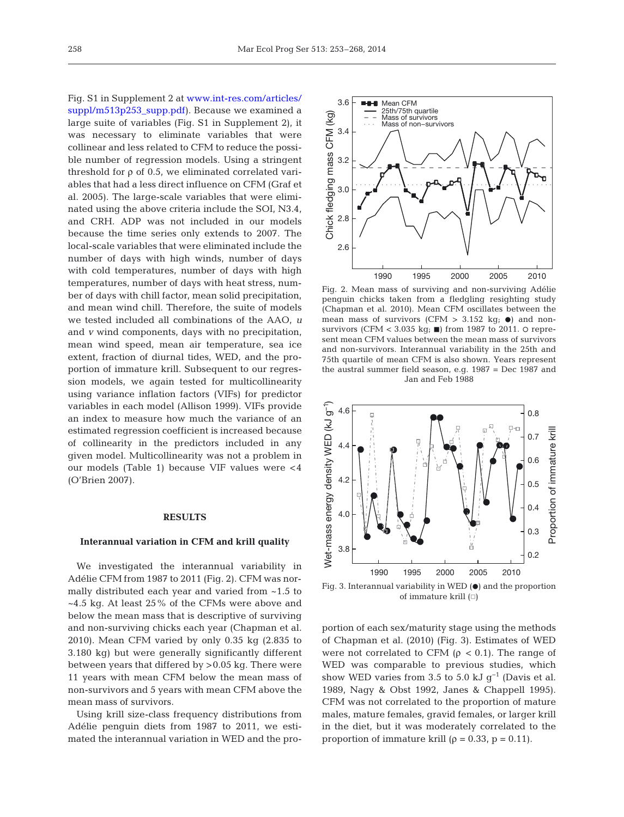Fig. S1 in Supplement 2 at [www.int-res.com/articles/](http://www.int-res.com/articles/suppl/m513p253_supp.pdf) [suppl/m513p253\\_supp.pdf\)](http://www.int-res.com/articles/suppl/m513p253_supp.pdf). Because we examined a large suite of variables (Fig. S1 in Supplement 2), it was necessary to eliminate variables that were collinear and less related to CFM to reduce the possible number of regression models. Using a stringent threshold for ρ of 0.5, we eliminated correlated variables that had a less direct influence on CFM (Graf et al. 2005). The large-scale variables that were eliminated using the above criteria include the SOI, N3.4, and CRH. ADP was not included in our models because the time series only extends to 2007. The local-scale variables that were eliminated include the number of days with high winds, number of days with cold temperatures, number of days with high temperatures, number of days with heat stress, number of days with chill factor, mean solid precipitation, and mean wind chill. Therefore, the suite of models we tested included all combinations of the AAO, *u* and *v* wind components, days with no precipitation, mean wind speed, mean air temperature, sea ice extent, fraction of diurnal tides, WED, and the proportion of immature krill. Subsequent to our regression models, we again tested for multicollinearity using variance inflation factors (VIFs) for predictor variables in each model (Allison 1999). VIFs provide an index to measure how much the variance of an estimated regression coefficient is increased because of collinearity in the predictors included in any given model. Multicollinearity was not a problem in our models (Table 1) because VIF values were <4 (O'Brien 2007).

## **RESULTS**

# **Interannual variation in CFM and krill quality**

We investigated the interannual variability in Adélie CFM from 1987 to 2011 (Fig. 2). CFM was normally distributed each year and varied from ~1.5 to ~4.5 kg. At least 25% of the CFMs were above and below the mean mass that is descriptive of surviving and non-surviving chicks each year (Chapman et al. 2010). Mean CFM varied by only 0.35 kg (2.835 to 3.180 kg) but were generally significantly different between years that differed by >0.05 kg. There were 11 years with mean CFM below the mean mass of non-survivors and 5 years with mean CFM above the mean mass of survivors.

Using krill size-class frequency distributions from Adélie penguin diets from 1987 to 2011, we estimated the interannual variation in WED and the pro-



Fig. 2. Mean mass of surviving and non-surviving Adélie penguin chicks taken from a fledgling resighting study (Chapman et al. 2010). Mean CFM oscillates between the mean mass of survivors (CFM  $>$  3.152 kg;  $\bullet$ ) and nonsurvivors (CFM < 3.035 kg;  $\blacksquare$ ) from 1987 to 2011.  $\bigcirc$  represent mean CFM values between the mean mass of survivors and non-survivors. Interannual variability in the 25th and 75th quartile of mean CFM is also shown. Years represent the austral summer field season, e.g. 1987 = Dec 1987 and Jan and Feb 1988



Fig. 3. Interannual variability in WED  $(\bullet)$  and the proportion of immature krill  $(\square)$ 

portion of each sex/maturity stage using the methods of Chapman et al. (2010) (Fig. 3). Estimates of WED were not correlated to CFM ( $\rho < 0.1$ ). The range of WED was comparable to previous studies, which show WED varies from 3.5 to 5.0 kJ  $q^{-1}$  (Davis et al. 1989, Nagy & Obst 1992, Janes & Chappell 1995). CFM was not correlated to the proportion of mature males, mature females, gravid females, or larger krill in the diet, but it was moderately correlated to the proportion of immature krill ( $\rho = 0.33$ ,  $p = 0.11$ ).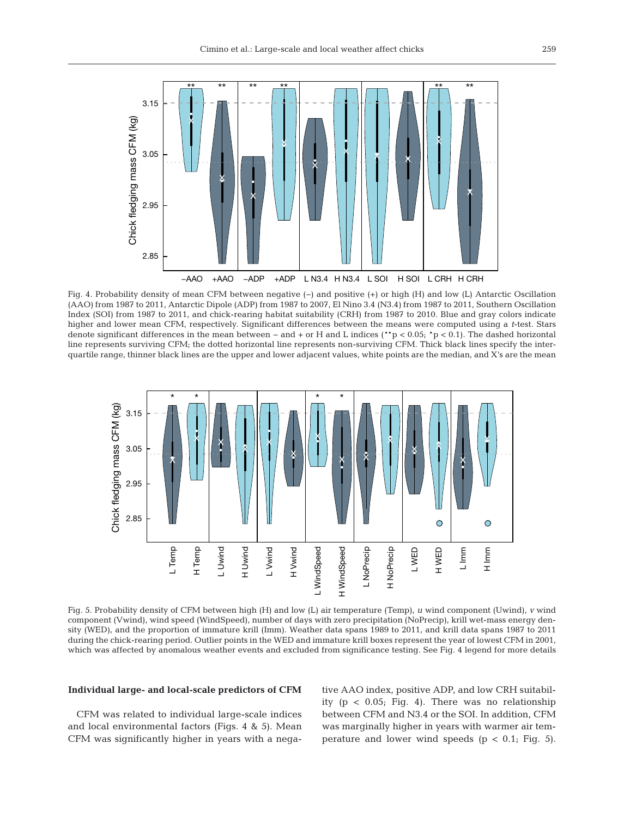

Fig. 4. Probability density of mean CFM between negative (−) and positive (+) or high (H) and low (L) Antarctic Oscillation (AAO) from 1987 to 2011, Antarctic Dipole (ADP) from 1987 to 2007, El Nino 3.4 (N3.4) from 1987 to 2011, Southern Oscillation Index (SOI) from 1987 to 2011, and chick-rearing habitat suitability (CRH) from 1987 to 2010. Blue and gray colors indicate higher and lower mean CFM, respectively. Significant differences between the means were computed using a *t*-test. Stars denote significant differences in the mean between − and + or H and L indices (\*\*p < 0.05; \*p < 0.1). The dashed horizontal line represents surviving CFM; the dotted horizontal line represents non-surviving CFM. Thick black lines specify the interquartile range, thinner black lines are the upper and lower adjacent values, white points are the median, and X's are the mean



Fig. 5. Probability density of CFM between high (H) and low (L) air temperature (Temp), *u* wind component (Uwind), *v* wind component (Vwind), wind speed (WindSpeed), number of days with zero precipitation (NoPrecip), krill wet-mass energy density (WED), and the proportion of immature krill (Imm). Weather data spans 1989 to 2011, and krill data spans 1987 to 2011 during the chick-rearing period. Outlier points in the WED and immature krill boxes represent the year of lowest CFM in 2001, which was affected by anomalous weather events and excluded from significance testing. See Fig. 4 legend for more details

#### **Individual large- and local-scale predictors of CFM**

CFM was related to individual large-scale indices and local environmental factors (Figs. 4 & 5). Mean CFM was significantly higher in years with a negative AAO index, positive ADP, and low CRH suitability ( $p < 0.05$ ; Fig. 4). There was no relationship between CFM and N3.4 or the SOI. In addition, CFM was marginally higher in years with warmer air temperature and lower wind speeds  $(p < 0.1;$  Fig. 5).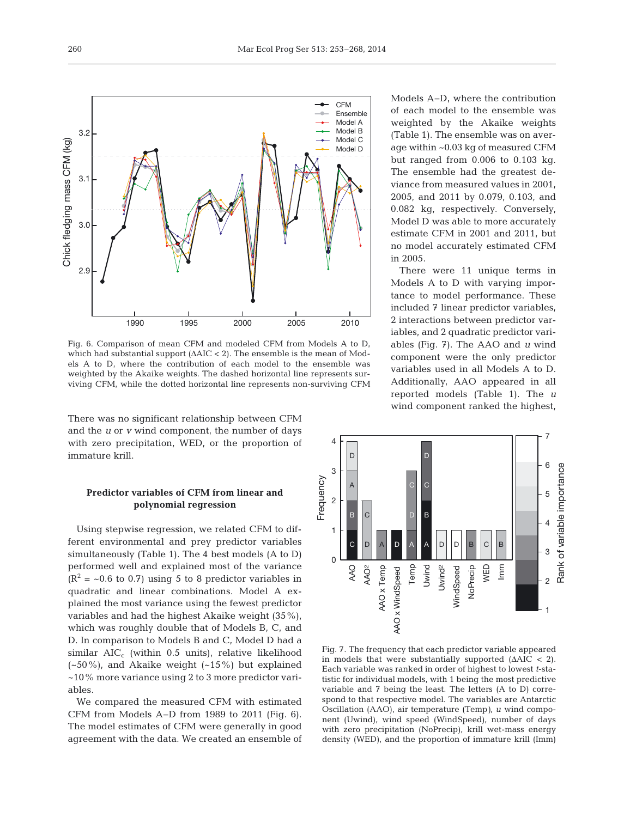

Fig. 6. Comparison of mean CFM and modeled CFM from Models A to D, which had substantial support  $(\Delta AIC < 2)$ . The ensemble is the mean of Models A to D, where the contribution of each model to the ensemble was weighted by the Akaike weights. The dashed horizontal line represents surviving CFM, while the dotted horizontal line represents non-surviving CFM

There was no significant relationship between CFM and the *u* or *v* wind component, the number of days with zero precipitation, WED, or the proportion of immature krill.

# **Predictor variables of CFM from linear and polynomial regression**

Using stepwise regression, we related CFM to different environmental and prey predictor variables simultaneously (Table 1). The 4 best models (A to D) performed well and explained most of the variance  $(R<sup>2</sup> = -0.6$  to 0.7) using 5 to 8 predictor variables in quadratic and linear combinations. Model A explained the most variance using the fewest predictor variables and had the highest Akaike weight (35%), which was roughly double that of Models B, C, and D. In comparison to Models B and C, Model D had a similar  $AIC_c$  (within 0.5 units), relative likelihood (~50%), and Akaike weight (~15%) but explained ~10% more variance using 2 to 3 more predictor variables.

We compared the measured CFM with estimated CFM from Models A−D from 1989 to 2011 (Fig. 6). The model estimates of CFM were generally in good agreement with the data. We created an ensemble of

Models A−D, where the contribution of each model to the ensemble was weighted by the Akaike weights (Table 1). The ensemble was on average within ~0.03 kg of measured CFM but ranged from 0.006 to 0.103 kg. The ensemble had the greatest deviance from measured values in 2001, 2005, and 2011 by 0.079, 0.103, and 0.082 kg, respectively. Conversely, Model D was able to more accurately estimate CFM in 2001 and 2011, but no model accurately estimated CFM in 2005.

There were 11 unique terms in Models A to D with varying importance to model performance. These included 7 linear predictor variables, 2 interactions between predictor var iables, and 2 quadratic predictor variables (Fig. 7). The AAO and *u* wind component were the only predictor variables used in all Models A to D. Additionally, AAO appeared in all reported models (Table 1). The *u* wind component ranked the highest,



Fig. 7. The frequency that each predictor variable appeared in models that were substantially supported  $(ΔAIC < 2)$ . Each variable was ranked in order of highest to lowest *t*-statistic for individual models, with 1 being the most predictive variable and 7 being the least. The letters (A to D) correspond to that respective model. The variables are Antarctic Oscillation (AAO), air temperature (Temp*), u* wind component (Uwind), wind speed (WindSpeed), number of days with zero precipitation (NoPrecip), krill wet-mass energy density (WED), and the proportion of immature krill (Imm)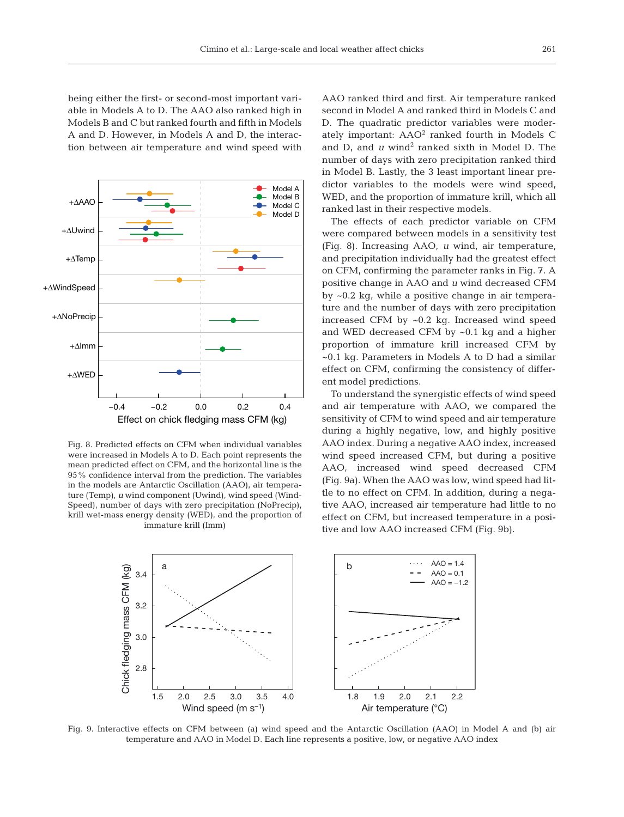being either the first- or second-most important variable in Models A to D. The AAO also ranked high in Models B and C but ranked fourth and fifth in Models A and D. However, in Models A and D, the interaction between air temperature and wind speed with



Fig. 8. Predicted effects on CFM when individual variables were increased in Models A to D. Each point represents the mean predicted effect on CFM, and the horizontal line is the 95% confidence interval from the prediction. The variables in the models are Antarctic Oscillation (AAO), air temperature (Temp), *u* wind component (Uwind), wind speed (Wind-Speed), number of days with zero precipitation (NoPrecip), krill wet-mass energy density (WED), and the proportion of immature krill (Imm)

AAO ranked third and first. Air temperature ranked second in Model A and ranked third in Models C and D. The quadratic predictor variables were moderately important: AAO<sup>2</sup> ranked fourth in Models C and D, and *u* wind<sup>2</sup> ranked sixth in Model D. The number of days with zero precipitation ranked third in Model B. Lastly, the 3 least important linear predictor variables to the models were wind speed, WED, and the proportion of immature krill, which all ranked last in their respective models.

The effects of each predictor variable on CFM were compared between models in a sensitivity test (Fig. 8). Increasing AAO, *u* wind, air temperature, and precipitation individually had the greatest effect on CFM, confirming the parameter ranks in Fig. 7. A positive change in AAO and *u* wind decreased CFM by ~0.2 kg, while a positive change in air temperature and the number of days with zero precipitation increased CFM by ~0.2 kg. Increased wind speed and WED decreased CFM by ~0.1 kg and a higher proportion of immature krill increased CFM by ~0.1 kg. Parameters in Models A to D had a similar effect on CFM, confirming the consistency of different model predictions.

To understand the synergistic effects of wind speed and air temperature with AAO, we compared the sensitivity of CFM to wind speed and air temperature during a highly negative, low, and highly positive AAO index. During a negative AAO index, increased wind speed increased CFM, but during a positive AAO, increased wind speed decreased CFM (Fig. 9a). When the AAO was low, wind speed had little to no effect on CFM. In addition, during a negative AAO, increased air temperature had little to no effect on CFM, but increased temperature in a positive and low AAO increased CFM (Fig. 9b).



Fig. 9. Interactive effects on CFM between (a) wind speed and the Antarctic Oscillation (AAO) in Model A and (b) air temperature and AAO in Model D. Each line represents a positive, low, or negative AAO index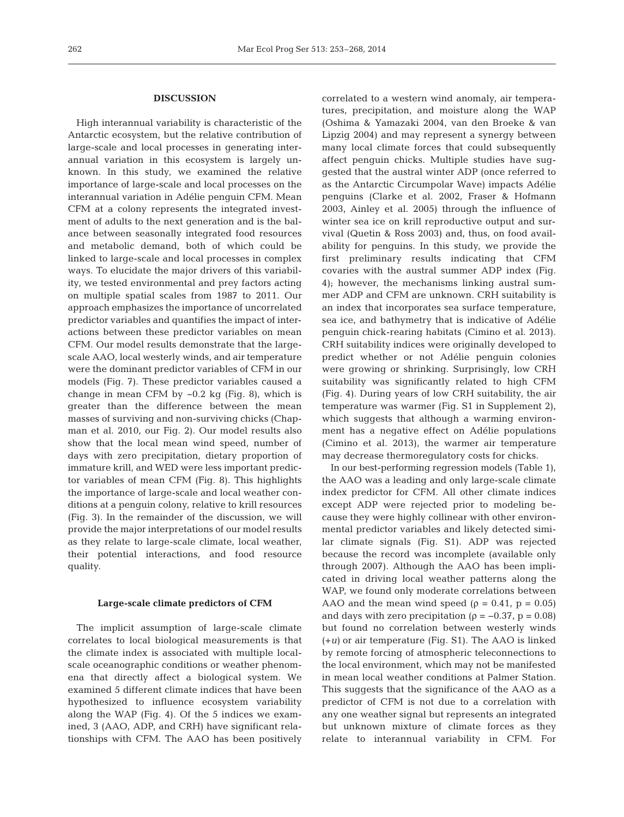# **DISCUSSION**

High interannual variability is characteristic of the Antarctic ecosystem, but the relative contribution of large-scale and local processes in generating interannual variation in this ecosystem is largely unknown. In this study, we examined the relative importance of large-scale and local processes on the interannual variation in Adélie penguin CFM. Mean CFM at a colony represents the integrated investment of adults to the next generation and is the balance between seasonally integrated food resources and metabolic demand, both of which could be linked to large-scale and local processes in complex ways. To elucidate the major drivers of this variability, we tested environmental and prey factors acting on multiple spatial scales from 1987 to 2011. Our approach emphasizes the importance of uncorrelated predictor variables and quantifies the impact of interactions between these predictor variables on mean CFM. Our model results demonstrate that the largescale AAO, local westerly winds, and air temperature were the dominant predictor variables of CFM in our models (Fig. 7). These predictor variables caused a change in mean CFM by  $\sim$ 0.2 kg (Fig. 8), which is greater than the difference between the mean masses of surviving and non-surviving chicks (Chapman et al. 2010, our Fig. 2). Our model results also show that the local mean wind speed, number of days with zero precipitation, dietary proportion of immature krill, and WED were less important predictor variables of mean CFM (Fig. 8). This highlights the importance of large-scale and local weather conditions at a penguin colony, relative to krill resources (Fig. 3). In the remainder of the discussion, we will provide the major interpretations of our model results as they relate to large-scale climate, local weather, their potential interactions, and food resource quality.

## **Large-scale climate predictors of CFM**

The implicit assumption of large-scale climate correlates to local biological measurements is that the climate index is associated with multiple localscale oceanographic conditions or weather phenomena that directly affect a biological system. We examined 5 different climate indices that have been hypothesized to influence ecosystem variability along the WAP (Fig. 4). Of the 5 indices we examined, 3 (AAO, ADP, and CRH) have significant relationships with CFM. The AAO has been positively

correlated to a western wind anomaly, air temperatures, precipitation, and moisture along the WAP (Oshima & Yamazaki 2004, van den Broeke & van Lipzig 2004) and may represent a synergy between many local climate forces that could subsequently affect penguin chicks. Multiple studies have suggested that the austral winter ADP (once referred to as the Antarctic Circumpolar Wave) impacts Adélie penguins (Clarke et al. 2002, Fraser & Hofmann 2003, Ainley et al. 2005) through the influence of winter sea ice on krill reproductive output and survival (Quetin & Ross 2003) and, thus, on food availability for penguins. In this study, we provide the first preliminary results indicating that CFM covaries with the austral summer ADP index (Fig. 4); however, the mechanisms linking austral summer ADP and CFM are unknown. CRH suitability is an index that incorporates sea surface temperature, sea ice, and bathymetry that is indicative of Adélie penguin chick-rearing habitats (Cimino et al. 2013). CRH suitability indices were originally developed to predict whether or not Adélie penguin colonies were growing or shrinking. Surprisingly, low CRH suitability was significantly related to high CFM (Fig. 4). During years of low CRH suitability, the air temperature was warmer (Fig. S1 in Supplement 2), which suggests that although a warming environment has a negative effect on Adélie populations (Cimino et al. 2013), the warmer air temperature may decrease thermoregulatory costs for chicks.

In our best-performing regression models (Table 1), the AAO was a leading and only large-scale climate index predictor for CFM. All other climate indices except ADP were rejected prior to modeling be cause they were highly collinear with other environmental predictor variables and likely detected similar climate signals (Fig. S1). ADP was rejected be cause the record was incomplete (available only through 2007). Although the AAO has been implicated in driving local weather patterns along the WAP, we found only moderate correlations between AAO and the mean wind speed ( $p = 0.41$ ,  $p = 0.05$ ) and days with zero precipitation ( $\rho = -0.37$ ,  $p = 0.08$ ) but found no correlation between westerly winds (+*u)* or air temperature (Fig. S1). The AAO is linked by remote forcing of atmospheric teleconnections to the local environment, which may not be manifested in mean local weather conditions at Palmer Station. This suggests that the significance of the AAO as a predictor of CFM is not due to a correlation with any one weather signal but represents an integrated but unknown mixture of climate forces as they relate to interannual variability in CFM. For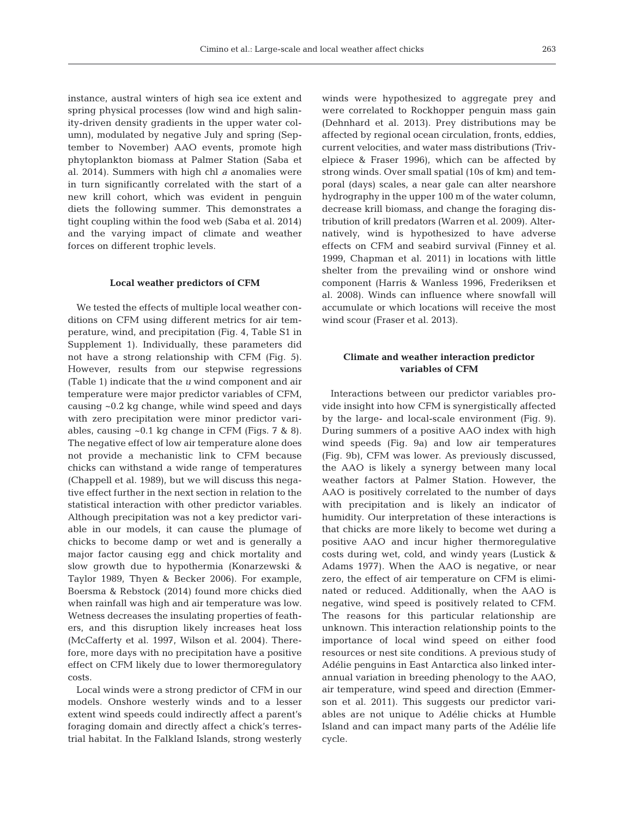instance, austral winters of high sea ice extent and spring physical processes (low wind and high salinity-driven density gradients in the upper water column), modulated by negative July and spring (September to November) AAO events, promote high phytoplankton biomass at Palmer Station (Saba et al. 2014). Summers with high chl *a* anomalies were in turn significantly correlated with the start of a new krill cohort, which was evident in penguin diets the following summer. This demonstrates a tight coupling within the food web (Saba et al. 2014) and the varying impact of climate and weather forces on different trophic levels.

#### **Local weather predictors of CFM**

We tested the effects of multiple local weather conditions on CFM using different metrics for air temperature, wind, and precipitation (Fig. 4, Table S1 in Supplement 1). Individually, these parameters did not have a strong relationship with CFM (Fig. 5). However, results from our stepwise regressions (Table 1) indicate that the *u* wind component and air temperature were major predictor variables of CFM, causing ~0.2 kg change, while wind speed and days with zero precipitation were minor predictor variables, causing ~0.1 kg change in CFM (Figs. 7 & 8). The negative effect of low air temperature alone does not provide a mechanistic link to CFM because chicks can withstand a wide range of temperatures (Chappell et al. 1989), but we will discuss this negative effect further in the next section in relation to the statistical interaction with other predictor variables. Although precipitation was not a key predictor variable in our models, it can cause the plumage of chicks to become damp or wet and is generally a major factor causing egg and chick mortality and slow growth due to hypothermia (Konarzewski & Taylor 1989, Thyen & Becker 2006). For example, Boersma & Rebstock (2014) found more chicks died when rainfall was high and air temperature was low. Wetness decreases the insulating properties of feathers, and this disruption likely increases heat loss (McCafferty et al. 1997, Wilson et al. 2004). Therefore, more days with no precipitation have a positive effect on CFM likely due to lower thermoregulatory costs.

Local winds were a strong predictor of CFM in our models. Onshore westerly winds and to a lesser extent wind speeds could indirectly affect a parent's foraging domain and directly affect a chick's terrestrial habitat. In the Falkland Islands, strong westerly

winds were hypothesized to aggregate prey and were correlated to Rockhopper penguin mass gain (Dehnhard et al. 2013). Prey distributions may be affected by regional ocean circulation, fronts, eddies, current velocities, and water mass distributions (Trivelpiece & Fraser 1996), which can be affected by strong winds. Over small spatial (10s of km) and temporal (days) scales, a near gale can alter nearshore hydrography in the upper 100 m of the water column, decrease krill biomass, and change the foraging distribution of krill predators (Warren et al. 2009). Alternatively, wind is hypothesized to have adverse effects on CFM and seabird survival (Finney et al. 1999, Chapman et al. 2011) in locations with little shelter from the prevailing wind or onshore wind component (Harris & Wanless 1996, Frederiksen et al. 2008). Winds can influence where snowfall will accumulate or which locations will receive the most wind scour (Fraser et al. 2013).

# **Climate and weather interaction predictor variables of CFM**

Interactions between our predictor variables provide insight into how CFM is synergistically affected by the large- and local-scale environment (Fig. 9). During summers of a positive AAO index with high wind speeds (Fig. 9a) and low air temperatures (Fig. 9b), CFM was lower. As previously discussed, the AAO is likely a synergy between many local weather factors at Palmer Station. However, the AAO is positively correlated to the number of days with precipitation and is likely an indicator of humidity. Our interpretation of these interactions is that chicks are more likely to become wet during a positive AAO and incur higher thermoregulative costs during wet, cold, and windy years (Lustick & Adams 1977). When the AAO is negative, or near zero, the effect of air temperature on CFM is eliminated or reduced. Additionally, when the AAO is negative, wind speed is positively related to CFM. The reasons for this particular relationship are unknown. This interaction relationship points to the importance of local wind speed on either food resources or nest site conditions. A previous study of Adélie penguins in East Antarctica also linked interannual variation in breeding phenology to the AAO, air temperature, wind speed and direction (Emmerson et al. 2011). This suggests our predictor variables are not unique to Adélie chicks at Humble Island and can impact many parts of the Adélie life cycle.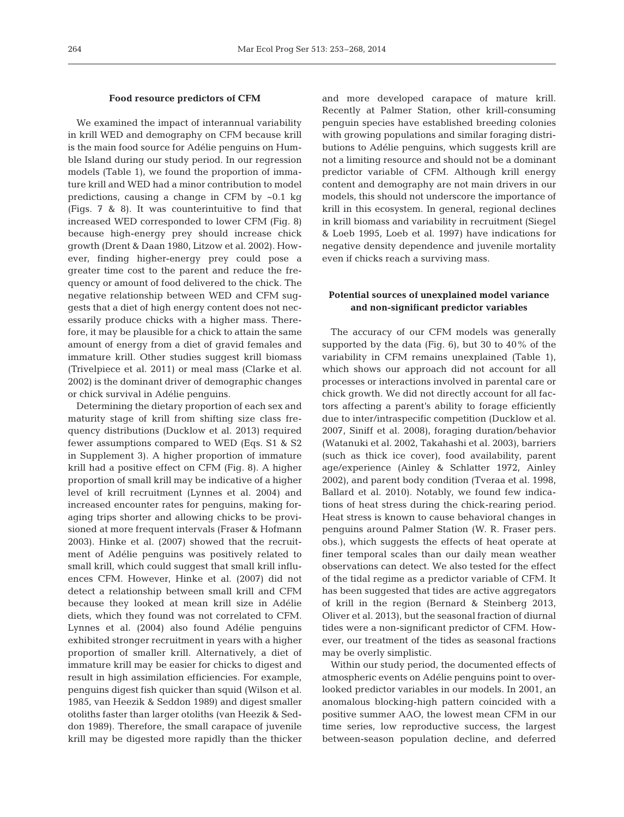#### **Food resource predictors of CFM**

We examined the impact of interannual variability in krill WED and demography on CFM because krill is the main food source for Adélie penguins on Humble Island during our study period. In our regression models (Table 1), we found the proportion of immature krill and WED had a minor contribution to model predictions, causing a change in CFM by  $\sim 0.1$  kg (Figs. 7 & 8). It was counterintuitive to find that increased WED corresponded to lower CFM (Fig. 8) because high-energy prey should increase chick growth (Drent & Daan 1980, Litzow et al. 2002). However, finding higher-energy prey could pose a greater time cost to the parent and reduce the frequency or amount of food delivered to the chick. The negative relationship between WED and CFM suggests that a diet of high energy content does not necessarily produce chicks with a higher mass. Therefore, it may be plausible for a chick to attain the same amount of energy from a diet of gravid females and immature krill. Other studies suggest krill biomass (Trivelpiece et al. 2011) or meal mass (Clarke et al. 2002) is the dominant driver of demographic changes or chick survival in Adélie penguins.

Determining the dietary proportion of each sex and maturity stage of krill from shifting size class frequency distributions (Ducklow et al. 2013) required fewer assumptions compared to WED (Eqs. S1 & S2 in Supplement 3). A higher proportion of immature krill had a positive effect on CFM (Fig. 8). A higher proportion of small krill may be indicative of a higher level of krill recruitment (Lynnes et al. 2004) and increased encounter rates for penguins, making foraging trips shorter and allowing chicks to be provisioned at more frequent intervals (Fraser & Hofmann 2003). Hinke et al. (2007) showed that the recruitment of Adélie penguins was positively related to small krill, which could suggest that small krill influences CFM. However, Hinke et al. (2007) did not detect a relationship between small krill and CFM because they looked at mean krill size in Adélie diets, which they found was not correlated to CFM. Lynnes et al. (2004) also found Adélie penguins exhibited stronger recruitment in years with a higher proportion of smaller krill. Alternatively, a diet of immature krill may be easier for chicks to digest and result in high assimilation efficiencies. For example, penguins digest fish quicker than squid (Wilson et al. 1985, van Heezik & Seddon 1989) and digest smaller otoliths faster than larger otoliths (van Heezik & Seddon 1989). Therefore, the small carapace of juvenile krill may be digested more rapidly than the thicker and more developed carapace of mature krill. Recently at Palmer Station, other krill-consuming penguin species have established breeding colonies with growing populations and similar foraging distributions to Adélie penguins, which suggests krill are not a limiting resource and should not be a dominant predictor variable of CFM. Although krill energy content and demography are not main drivers in our models, this should not underscore the importance of krill in this ecosystem. In general, regional declines in krill biomass and variability in recruitment (Siegel & Loeb 1995, Loeb et al. 1997) have indications for negative density dependence and juvenile mortality even if chicks reach a surviving mass.

# **Potential sources of unexplained model variance and non-significant predictor variables**

The accuracy of our CFM models was generally supported by the data (Fig. 6), but 30 to 40% of the variability in CFM remains unexplained (Table 1), which shows our approach did not account for all processes or interactions involved in parental care or chick growth. We did not directly account for all factors affecting a parent's ability to forage efficiently due to inter/intraspecific competition (Ducklow et al. 2007, Siniff et al. 2008), foraging duration/behavior (Watanuki et al. 2002, Takahashi et al. 2003), barriers (such as thick ice cover), food availability, parent age/experience (Ainley & Schlatter 1972, Ainley 2002), and parent body condition (Tveraa et al. 1998, Ballard et al. 2010). Notably, we found few indications of heat stress during the chick-rearing period. Heat stress is known to cause behavioral changes in penguins around Palmer Station (W. R. Fraser pers. obs.), which suggests the effects of heat operate at finer temporal scales than our daily mean weather observations can detect. We also tested for the effect of the tidal regime as a predictor variable of CFM. It has been suggested that tides are active aggregators of krill in the region (Bernard & Steinberg 2013, Oliver et al. 2013), but the seasonal fraction of diurnal tides were a non-significant predictor of CFM. However, our treatment of the tides as seasonal fractions may be overly simplistic.

Within our study period, the documented effects of atmospheric events on Adélie penguins point to overlooked predictor variables in our models. In 2001, an anomalous blocking-high pattern coincided with a positive summer AAO, the lowest mean CFM in our time series, low reproductive success, the largest between-season population decline, and deferred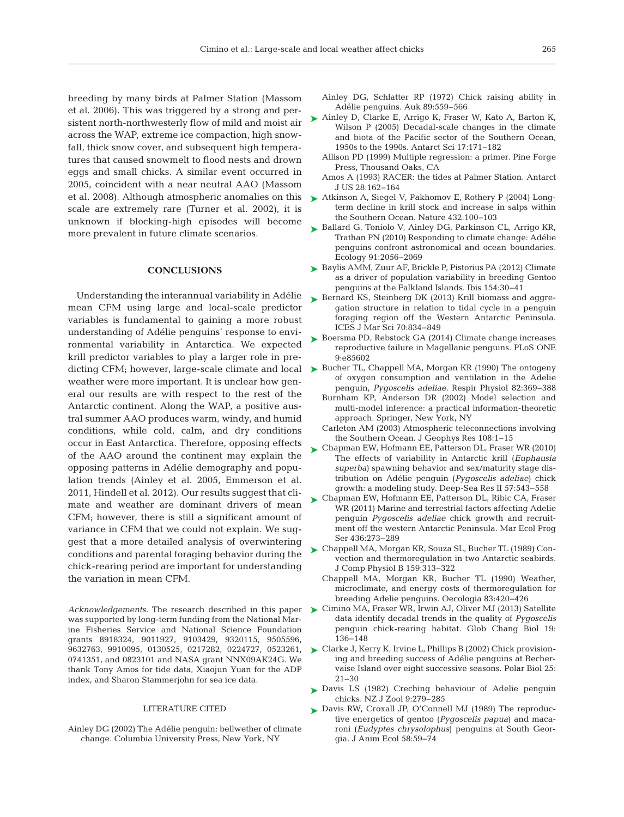breeding by many birds at Palmer Station (Massom et al. 2006). This was triggered by a strong and persistent north-northwesterly flow of mild and moist air across the WAP, extreme ice compaction, high snowfall, thick snow cover, and subsequent high temperatures that caused snowmelt to flood nests and drown eggs and small chicks. A similar event occurred in 2005, coincident with a near neutral AAO (Massom et al. 2008). Although atmospheric anomalies on this scale are extremely rare (Turner et al. 2002), it is unknown if blocking-high episodes will become more prevalent in future climate scenarios.

# **CONCLUSIONS**

Understanding the interannual variability in Adélie mean CFM using large and local-scale predictor variables is fundamental to gaining a more robust understanding of Adélie penguins' response to environmental variability in Antarctica. We expected krill predictor variables to play a larger role in predicting CFM; however, large-scale climate and local weather were more important. It is unclear how general our results are with respect to the rest of the Antarctic continent. Along the WAP, a positive austral summer AAO produces warm, windy, and humid conditions, while cold, calm, and dry conditions occur in East Antarctica. Therefore, opposing effects of the AAO around the continent may explain the opposing patterns in Adélie demography and population trends (Ainley et al. 2005, Emmerson et al. 2011, Hindell et al. 2012). Our results suggest that climate and weather are dominant drivers of mean CFM; however, there is still a significant amount of variance in CFM that we could not explain. We suggest that a more detailed analysis of overwintering conditions and parental foraging behavior during the chick-rearing period are important for understanding the variation in mean CFM.

was supported by long-term funding from the National Marine Fisheries Service and National Science Foundation grants 8918324, 9011927, 9103429, 9320115, 9505596, 9632763, 9910095, 0130525, 0217282, 0224727, 0523261, 0741351, and 0823101 and NASA grant NNX09AK24G. We thank Tony Amos for tide data, Xiaojun Yuan for the ADP index, and Sharon Stammerjohn for sea ice data.

#### LITERATURE CITED

Ainley DG (2002) The Adélie penguin: bellwether of climate change. Columbia University Press, New York, NY

- Ainley DG, Schlatter RP (1972) Chick raising ability in Adélie penguins. Auk 89:559-566
- ▶ [Ainley D, Clarke E, Arrigo K, Fraser W, Kato A, Barton K,](http://dx.doi.org/10.1890/0012-9658(2006)87[2080%3ACAPACR]2.0.CO%3B2) Wilson P (2005) Decadal-scale changes in the climate and biota of the Pacific sector of the Southern Ocean, 1950s to the 1990s. Antarct Sci 17: 171−182
	- Allison PD (1999) Multiple regression:a primer. Pine Forge Press, Thousand Oaks, CA
	- Amos A (1993) RACER: the tides at Palmer Station. Antarct J US 28: 162−164
- ► [Atkinson A, Siegel V, Pakhomov E, Rothery P \(2004\) Long](http://dx.doi.org/10.1038/nature02996)term decline in krill stock and increase in salps within the Southern Ocean. Nature 432: 100−103
- ► [Ballard G, Toniolo V, Ainley DG, Parkinson CL, Arrigo KR,](http://dx.doi.org/10.1890/09-0688.1) Trathan PN (2010) Responding to climate change: Adélie penguins confront astronomical and ocean boundaries. Ecology 91:2056-2069
- ► [Baylis AMM, Zuur AF, Brickle P, Pistorius PA \(2012\) Climate](http://dx.doi.org/10.1111/j.1474-919X.2011.01179.x) as a driver of population variability in breeding Gentoo penguins at the Falkland Islands. Ibis 154:30-41
- ▶ [Bernard KS, Steinberg DK \(2013\) Krill biomass and aggre](http://dx.doi.org/10.1093/icesjms/fst088)gation structure in relation to tidal cycle in a penguin foraging region off the Western Antarctic Peninsula. ICES J Mar Sci 70: 834−849
- ► [Boersma PD, Rebstock GA \(2014\) Climate change increases](http://dx.doi.org/10.1371/journal.pone.0085602) reproductive failure in Magellanic penguins. PLoS ONE 9: e85602
- ► [Bucher TL, Chappell MA, Morgan KR \(1990\) The ontogeny](http://dx.doi.org/10.1016/0034-5687(90)90106-9) of oxygen consumption and ventilation in the Adelie penguin, *Pygoscelis adeliae.* Respir Physiol 82: 369−388
	- Burnham KP, Anderson DR (2002) Model selection and multi-model inference: a practical information-theoretic approach. Springer, New York, NY
	- Carleton AM (2003) Atmospheric teleconnections involving the Southern Ocean. J Geophys Res 108:1-15
- ► [Chapman EW, Hofmann EE, Patterson DL, Fraser WR \(2010\)](http://dx.doi.org/10.1016/j.dsr2.2009.10.005) The effects of variability in Antarctic krill (*Euphausia superba*) spawning behavior and sex/maturity stage distribution on Adélie penguin (*Pygoscelis adeliae*) chick growth: a modeling study. Deep-Sea Res II 57:543-558
- ► [Chapman EW, Hofmann EE, Patterson DL, Ribic CA, Fraser](http://dx.doi.org/10.3354/meps09242) WR (2011) Marine and terrestrial factors affecting Adelie penguin *Pygoscelis adeliae* chick growth and recruitment off the western Antarctic Peninsula. Mar Ecol Prog Ser 436:273-289
- [Chappell MA, Morgan KR, Souza SL, Bucher TL \(1989\) Con-](http://dx.doi.org/10.1007/BF00691511)➤ vection and thermoregulation in two Antarctic seabirds. J Comp Physiol B 159:313-322
	- Chappell MA, Morgan KR, Bucher TL (1990) Weather, microclimate, and energy costs of thermoregulation for breeding Adelie penguins. Oecologia 83: 420−426
- Acknowledgements. The research described in this paper ► [Cimino MA, Fraser WR, Irwin AJ, Oliver MJ \(2013\) Satellite](http://dx.doi.org/10.1111/gcb.12016) data identify decadal trends in the quality of *Pygoscelis* penguin chick-rearing habitat. Glob Chang Biol 19: 136−148
	- [Clarke J, Kerry K, Irvine L, Phillips B \(2002\) Chick provision-](http://dx.doi.org/10.1007/s003000100307)➤ ing and breeding success of Adélie penguins at Bechervaise Island over eight successive seasons. Polar Biol 25: 21−30
	- ▶ [Davis LS \(1982\) Creching behaviour of Adelie penguin](http://dx.doi.org/10.1080/03014223.1982.10423856) chicks. NZ J Zool 9:279-285
	- ▶ [Davis RW, Croxall JP, O'Connell MJ \(1989\) The reproduc](http://dx.doi.org/10.2307/4986)tive energetics of gentoo (*Pygoscelis papua*) and macaroni (*Eudyptes chrysolophus*) penguins at South Georgia. J Anim Ecol 58: 59−74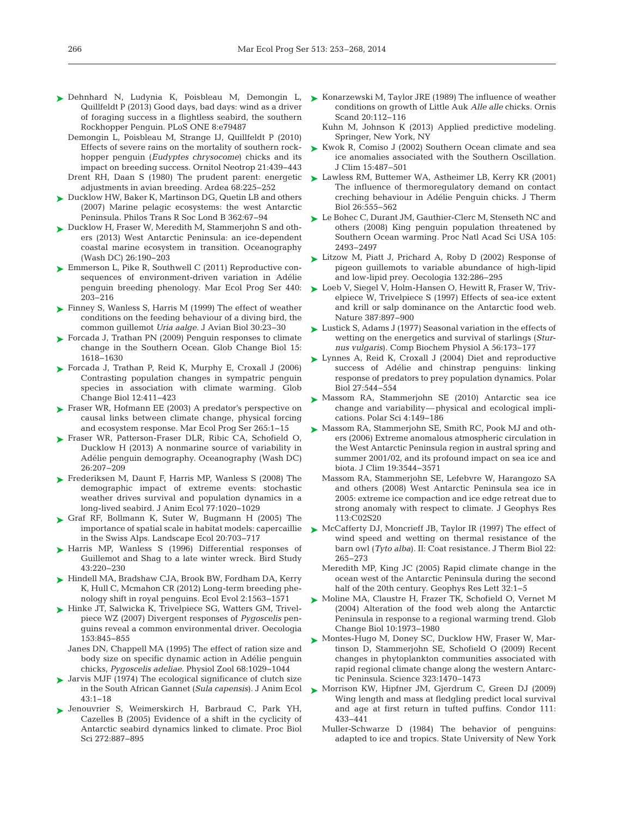- ► [Dehnhard N, Ludynia K, Poisbleau M, Demongin L,](http://dx.doi.org/10.1016/j.icesjms.2004.07.027) ► [Konarzewski M, Taylor JRE \(1989\) The influence of weather](http://dx.doi.org/10.2307/3676877) Quillfeldt P (2013) Good days, bad days: wind as a driver of foraging success in a flightless seabird, the southern Rockhopper Penguin. PLoS ONE 8:e79487
	- Demongin L, Poisbleau M, Strange IJ, Quillfeldt P (2010) Effects of severe rains on the mortality of southern rockhopper penguin (*Eudyptes chrysocome*) chicks and its impact on breeding success. Ornitol Neotrop 21:439-443 Drent RH, Daan S (1980) The prudent parent: energetic
	- adjustments in avian breeding. Ardea 68: 225−252
- ► [Ducklow HW, Baker K, Martinson DG, Quetin LB and others](http://dx.doi.org/10.1098/rstb.2006.1955) (2007) Marine pelagic ecosystems: the west Antarctic Peninsula. Philos Trans R Soc Lond B 362:67-94
- [Ducklow H, Fraser W, Meredith M, Stammerjohn S and oth-](http://dx.doi.org/10.5670/oceanog.2013.62)➤ ers (2013) West Antarctic Peninsula: an ice-dependent coastal marine ecosystem in transition. Oceanography (Wash DC) 26: 190−203
- ► [Emmerson L, Pike R, Southwell C \(2011\) Reproductive con](http://dx.doi.org/10.3354/meps09265)sequences of environment-driven variation in Adélie penguin breeding phenology. Mar Ecol Prog Ser 440: 203−216
- ► [Finney S, Wanless S, Harris M \(1999\) The effect of weather](http://dx.doi.org/10.2307/3677239) conditions on the feeding behaviour of a diving bird, the common guillemot *Uria aalge.* J Avian Biol 30:23-30
- ► [Forcada J, Trathan PN \(2009\) Penguin responses to climate](http://dx.doi.org/10.1111/j.1365-2486.2009.01909.x) change in the Southern Ocean. Glob Change Biol 15: 1618−1630
- ► [Forcada J, Trathan P, Reid K, Murphy E, Croxall J \(2006\)](http://dx.doi.org/10.1111/j.1365-2486.2006.01108.x) Contrasting population changes in sympatric penguin species in association with climate warming. Glob Change Biol 12: 411−423
- ► [Fraser WR, Hofmann EE \(2003\) A predator's perspective on](http://dx.doi.org/10.3354/meps265001) causal links between climate change, physical forcing and ecosystem response. Mar Ecol Prog Ser 265: 1−15
- ▶ [Fraser WR, Patterson-Fraser DLR, Ribic CA, Schofield O,](http://dx.doi.org/10.5670/oceanog.2013.64) Ducklow H (2013) A nonmarine source of variability in Adélie penguin demography. Oceanography (Wash DC) 26: 207−209
- ► [Frederiksen M, Daunt F, Harris MP, Wanless S \(2008\) The](http://dx.doi.org/10.1007/s00300-008-0460-x) demographic impact of extreme events: stochastic weather drives survival and population dynamics in a long-lived seabird. J Anim Ecol 77: 1020−1029
- ▶ [Graf RF, Bollmann K, Suter W, Bugmann H \(2005\) The](http://dx.doi.org/10.1007/s10980-005-0063-7) importance of spatial scale in habitat models: capercaillie in the Swiss Alps. Landscape Ecol 20: 703−717
- ▶ [Harris MP, Wanless S \(1996\) Differential responses of](http://dx.doi.org/10.1080/00063659609461014) Guillemot and Shag to a late winter wreck. Bird Study 43: 220−230
- ► [Hindell MA, Bradshaw CJA, Brook BW, Fordham DA, Kerry](http://dx.doi.org/10.1002/ece3.281) K, Hull C, Mcmahon CR (2012) Long-term breeding phenology shift in royal penguins. Ecol Evol 2: 1563−1571
- ► [Hinke JT, Salwicka K, Trivelpiece SG, Watters GM, Trivel](http://dx.doi.org/10.1007/s00442-007-0781-4)piece WZ (2007) Divergent responses of *Pygoscelis* penguins reveal a common environmental driver. Oecologia 153: 845−855
	- Janes DN, Chappell MA (1995) The effect of ration size and body size on specific dynamic action in Adélie penguin chicks, *Pygoscelis adeliae.* Physiol Zool 68: 1029−1044
- ▶ [Jarvis MJF \(1974\) The ecological significance of clutch size](http://dx.doi.org/10.2307/3154) in the South African Gannet (*Sula capensis*). J Anim Ecol 43: 1−18
- [Jenouvrier S, Weimerskirch H, Barbraud C, Park YH,](http://dx.doi.org/10.1098/rspb.2004.2978) ➤ Cazelles B (2005) Evidence of a shift in the cyclicity of Antarctic seabird dynamics linked to climate. Proc Biol Sci 272: 887−895
- conditions on growth of Little Auk *Alle alle* chicks. Ornis Scand 20: 112−116
- Kuhn M, Johnson K (2013) Applied predictive modeling. Springer, New York, NY
- ► [Kwok R, Comiso J \(2002\) Southern Ocean climate and sea](http://dx.doi.org/10.1175/1520-0442(2002)015%3C0487%3ASOCASI%3E2.0.CO%3B2) ice anomalies associated with the Southern Oscillation. J Clim 15:487-501
- ► [Lawless RM, Buttemer WA, Astheimer LB, Kerry KR \(2001\)](http://dx.doi.org/10.1016/S0306-4565(00)00049-8) The influence of thermoregulatory demand on contact creching behaviour in Adélie Penguin chicks. J Therm Biol 26:555-562
- ► [Le Bohec C, Durant JM, Gauthier-Clerc M, Stenseth NC and](http://dx.doi.org/10.1073/pnas.0712031105) others (2008) King penguin population threatened by Southern Ocean warming. Proc Natl Acad Sci USA 105: 2493−2497
- ► [Litzow M, Piatt J, Prichard A, Roby D \(2002\) Response of](http://dx.doi.org/10.1007/s00442-002-0945-1) pigeon guillemots to variable abundance of high-lipid and low-lipid prey. Oecologia 132: 286−295
- ► [Loeb V, Siegel V, Holm-Hansen O, Hewitt R, Fraser W, Triv](http://dx.doi.org/10.1038/43174)elpiece W, Trivelpiece S (1997) Effects of sea-ice extent and krill or salp dominance on the Antarctic food web. Nature 387:897-900
- ► [Lustick S, Adams J \(1977\) Seasonal variation in the effects of](http://dx.doi.org/10.1016/0300-9629(77)90181-5) wetting on the energetics and survival of starlings (*Sturnus vulgaris*). Comp Biochem Physiol A 56: 173−177
- ► [Lynnes A, Reid K, Croxall J \(2004\) Diet and reproductive](http://dx.doi.org/10.1007/s00300-004-0617-1) success of Adélie and chinstrap penguins: linking response of predators to prey population dynamics. Polar Biol 27: 544−554
- ▶ [Massom RA, Stammerjohn SE \(2010\) Antarctic sea ice](http://dx.doi.org/10.1016/j.polar.2010.05.001) change and variability—physical and ecological implications. Polar Sci 4: 149−186
- ► [Massom RA, Stammerjohn SE, Smith RC, Pook MJ and oth](http://dx.doi.org/10.1175/JCLI3805.1)ers (2006) Extreme anomalous atmospheric circulation in the West Antarctic Peninsula region in austral spring and summer 2001/02, and its profound impact on sea ice and biota. J Clim 19:3544-3571
	- Massom RA, Stammerjohn SE, Lefebvre W, Harangozo SA and others (2008) West Antarctic Peninsula sea ice in 2005: extreme ice compaction and ice edge retreat due to strong anomaly with respect to climate. J Geophys Res 113: C02S20
- ▶ [McCafferty DJ, Moncrieff JB, Taylor IR \(1997\) The effect of](http://dx.doi.org/10.1016/S0306-4565(97)00021-1) wind speed and wetting on thermal resistance of the barn owl (*Tyto alba*). II:Coat resistance. J Therm Biol 22: 265−273
	- Meredith MP, King JC (2005) Rapid climate change in the ocean west of the Antarctic Peninsula during the second half of the 20th century. Geophys Res Lett 32:1-5
- ▶ [Moline MA, Claustre H, Frazer TK, Schofield O, Vernet M](http://dx.doi.org/10.1111/j.1365-2486.2004.00825.x) (2004) Alteration of the food web along the Antarctic Peninsula in response to a regional warming trend. Glob Change Biol 10: 1973−1980
- ▶ [Montes-Hugo M, Doney SC, Ducklow HW, Fraser W, Mar](http://dx.doi.org/10.1126/science.1164533)tinson D, Stammerjohn SE, Schofield O (2009) Recent changes in phytoplankton communities associated with rapid regional climate change along the western Antarctic Peninsula. Science 323: 1470−1473
- ▶ [Morrison KW, Hipfner JM, Gjerdrum C, Green DJ \(2009\)](http://dx.doi.org/10.1525/cond.2009.080099) Wing length and mass at fledgling predict local survival and age at first return in tufted puffins. Condor 111: 433−441
	- Muller-Schwarze D (1984) The behavior of penguins: adapted to ice and tropics. State University of New York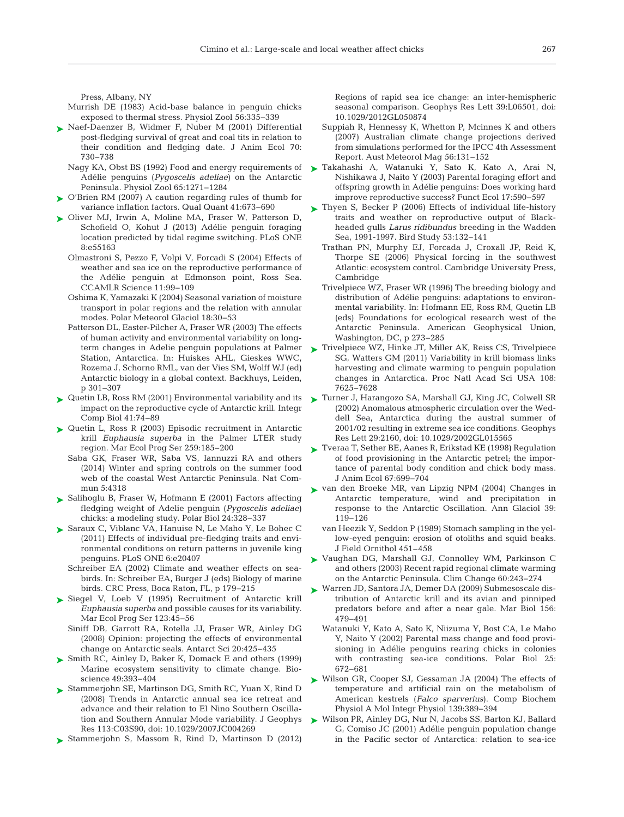Press, Albany, NY

- Murrish DE (1983) Acid-base balance in penguin chicks exposed to thermal stress. Physiol Zool 56:335-339
- ▶ [Naef-Daenzer B, Widmer F, Nuber M \(2001\) Differential](http://dx.doi.org/10.1046/j.0021-8790.2001.00533.x) post-fledging survival of great and coal tits in relation to their condition and fledging date. J Anim Ecol 70: 730−738
	- Nagy KA, Obst BS (1992) Food and energy requirements of Adélie penguins (*Pygoscelis adeliae*) on the Antarctic Peninsula. Physiol Zool 65: 1271−1284
- ▶ [O'Brien RM \(2007\) A caution regarding rules of thumb for](http://dx.doi.org/10.1007/s11135-006-9018-6) variance inflation factors. Qual Quant 41:673-690
- ▶ [Oliver MJ, Irwin A, Moline MA, Fraser W, Patterson D,](http://dx.doi.org/10.1371/journal.pone.0055163) Schofield O, Kohut J (2013) Adélie penguin foraging location predicted by tidal regime switching. PLoS ONE 8: e 55163
	- Olmastroni S, Pezzo F, Volpi V, Forcadi S (2004) Effects of weather and sea ice on the reproductive performance of the Adélie penguin at Edmonson point, Ross Sea. CCAMLR Science 11:99-109
	- Oshima K, Yamazaki K (2004) Seasonal variation of moisture transport in polar regions and the relation with annular modes. Polar Meteorol Glaciol 18:30-53
	- Patterson DL, Easter-Pilcher A, Fraser WR (2003) The effects of human activity and environmental variability on longterm changes in Adelie penguin populations at Palmer Station, Antarctica. In: Huiskes AHL, Gieskes WWC, Rozema J, Schorno RML, van der Vies SM, Wolff WJ (ed) Antarctic biology in a global context. Backhuys, Leiden, p 301−307
- ▶ [Quetin LB, Ross RM \(2001\) Environmental variability and its](http://dx.doi.org/10.1093/icb/41.1.74) impact on the reproductive cycle of Antarctic krill. Integr Comp Biol 41: 74−89
- ▶ [Quetin L, Ross R \(2003\) Episodic recruitment in Antarctic](http://dx.doi.org/10.3354/meps259185) krill *Euphausia superba* in the Palmer LTER study region. Mar Ecol Prog Ser 259: 185−200
	- Saba GK, Fraser WR, Saba VS, Iannuzzi RA and others (2014) Winter and spring controls on the summer food web of the coastal West Antarctic Peninsula. Nat Commun 5:4318
- ► [Salihoglu B, Fraser W, Hofmann E \(2001\) Factors affecting](http://dx.doi.org/10.1007/s003000000215) fledging weight of Adelie penguin (*Pygoscelis adeliae*) chicks:a modeling study. Polar Biol 24: 328−337
- ▶ [Saraux C, Viblanc VA, Hanuise N, Le Maho Y, Le Bohec C](http://dx.doi.org/10.1371/journal.pone.0020407) (2011) Effects of individual pre-fledging traits and environmental conditions on return patterns in juvenile king penguins. PLoS ONE 6:e20407
	- Schreiber EA (2002) Climate and weather effects on seabirds. In: Schreiber EA, Burger J (eds) Biology of marine birds. CRC Press, Boca Raton, FL, p 179−215
- ▶ [Siegel V, Loeb V \(1995\) Recruitment of Antarctic krill](http://dx.doi.org/10.3354/meps123045) *Euphausia superba* and possible causes for its variability. Mar Ecol Prog Ser 123:45-56
	- Siniff DB, Garrott RA, Rotella JJ, Fraser WR, Ainley DG (2008) Opinion: projecting the effects of environmental change on Antarctic seals. Antarct Sci 20: 425−435
- ▶ [Smith RC, Ainley D, Baker K, Domack E and others \(1999\)](http://dx.doi.org/10.2307/1313632) Marine ecosystem sensitivity to climate change. Bioscience 49:393-404
- ▶ [Stammerjohn SE, Martinson DG, Smith RC, Yuan X, Rind D](http://dx.doi.org/10.1029/2007JC004269) (2008) Trends in Antarctic annual sea ice retreat and advance and their relation to El Nino Southern Oscillation and Southern Annular Mode variability. J Geophys Res 113: C03S90, doi: 10.1029/2007JC004269
- ▶ [Stammerjohn S, Massom R, Rind D, Martinson D \(2012\)](http://dx.doi.org/10.1029/2012GL050874)

Regions of rapid sea ice change: an inter-hemispheric seasonal comparison. Geophys Res Lett 39:L06501, doi: 10.1029/2012GL050874

- Suppiah R, Hennessy K, Whetton P, Mcinnes K and others (2007) Australian climate change projections derived from simulations performed for the IPCC 4th Assessment Report. Aust Meteorol Mag 56: 131−152
- [Takahashi A, Watanuki Y, Sato K, Kato A, Arai N,](http://dx.doi.org/10.1046/j.1365-2435.2003.00772.x) ➤ Nishikawa J, Naito Y (2003) Parental foraging effort and offspring growth in Adélie penguins: Does working hard improve reproductive success? Funct Ecol 17: 590−597
- [Thyen S, Becker P \(2006\) Effects of individual life-history](http://dx.doi.org/10.1080/00063650609461426) ➤ traits and weather on reproductive output of Blackheaded gulls *Larus ridibundus* breeding in the Wadden Sea, 1991-1997. Bird Study 53: 132−141
	- Trathan PN, Murphy EJ, Forcada J, Croxall JP, Reid K, Thorpe SE (2006) Physical forcing in the southwest Atlantic: ecosystem control. Cambridge University Press, Cambridge
	- Trivelpiece WZ, Fraser WR (1996) The breeding biology and distribution of Adélie penguins: adaptations to environmental variability. In: Hofmann EE, Ross RM, Quetin LB (eds) Foundations for ecological research west of the Antarctic Peninsula. American Geophysical Union, Washington, DC, p 273−285
- ▶ [Trivelpiece WZ, Hinke JT, Miller AK, Reiss CS, Trivelpiece](http://dx.doi.org/10.1073/pnas.1016560108) SG, Watters GM (2011) Variability in krill biomass links harvesting and climate warming to penguin population changes in Antarctica. Proc Natl Acad Sci USA 108: 7625−7628
- ▶ [Turner J, Harangozo SA, Marshall GJ, King JC, Colwell SR](http://dx.doi.org/10.1029/2002GL015565) (2002) Anomalous atmospheric circulation over the Weddell Sea, Antarctica during the austral summer of 2001/02 resulting in extreme sea ice conditions. Geophys Res Lett 29:2160, doi: 10.1029/2002GL015565
- [Tveraa T, Sether BE, Aanes R, Erikstad KE \(1998\) Regulation](http://dx.doi.org/10.1046/j.1365-2656.1998.00234.x) ➤ of food provisioning in the Antarctic petrel; the importance of parental body condition and chick body mass. J Anim Ecol 67: 699−704
- ▶ [van den Broeke MR, van Lipzig NPM \(2004\) Changes in](http://dx.doi.org/10.3189/172756404781814654) Antarctic temperature, wind and precipitation in response to the Antarctic Oscillation. Ann Glaciol 39: 119−126
	- van Heezik Y, Seddon P (1989) Stomach sampling in the yellow-eyed penguin: erosion of otoliths and squid beaks. J Field Ornithol 451–458
- [Vaughan DG, Marshall GJ, Connolley WM, Parkinson C](http://dx.doi.org/10.1023/A%3A1026021217991) ➤ and others (2003) Recent rapid regional climate warming on the Antarctic Peninsula. Clim Change 60: 243−274
- [Warren JD, Santora JA, Demer DA \(2009\) Submesoscale dis-](http://dx.doi.org/10.1007/s00227-008-1102-0)➤ tribution of Antarctic krill and its avian and pinniped predators before and after a near gale. Mar Biol 156: 479−491
	- Watanuki Y, Kato A, Sato K, Niizuma Y, Bost CA, Le Maho Y, Naito Y (2002) Parental mass change and food provisioning in Adélie penguins rearing chicks in colonies with contrasting sea-ice conditions. Polar Biol 25: 672−681
- ▶ [Wilson GR, Cooper SJ, Gessaman JA \(2004\) The effects of](http://dx.doi.org/10.1016/j.cbpb.2004.10.009) temperature and artificial rain on the metabolism of American kestrels (*Falco sparverius*). Comp Biochem Physiol A Mol Integr Physiol 139: 389−394
- [Wilson PR, Ainley DG, Nur N, Jacobs SS, Barton KJ, Ballard](http://dx.doi.org/10.3354/meps213301) ➤ G, Comiso JC (2001) Adélie penguin population change in the Pacific sector of Antarctica: relation to sea-ice